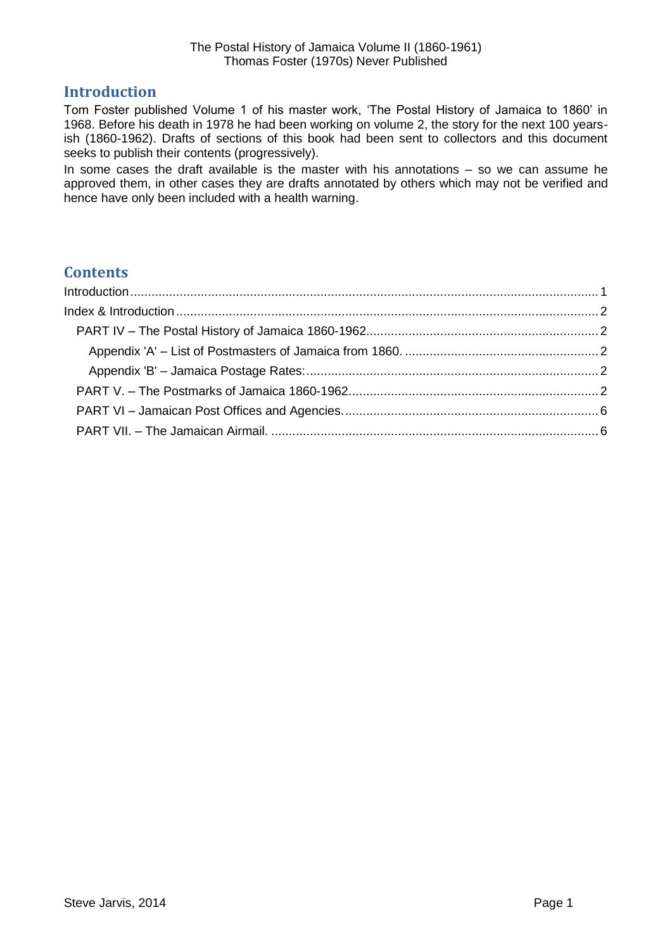# <span id="page-0-0"></span>**Introduction**

Tom Foster published Volume 1 of his master work, 'The Postal History of Jamaica to 1860' in 1968. Before his death in 1978 he had been working on volume 2, the story for the next 100 yearsish (1860-1962). Drafts of sections of this book had been sent to collectors and this document seeks to publish their contents (progressively).

In some cases the draft available is the master with his annotations – so we can assume he approved them, in other cases they are drafts annotated by others which may not be verified and hence have only been included with a health warning.

# **Contents**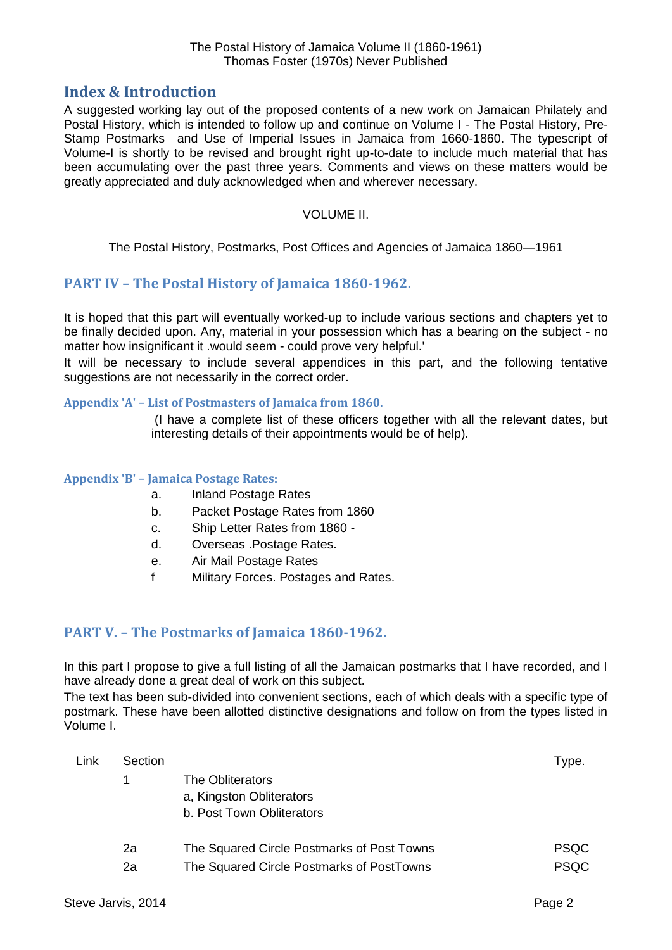## <span id="page-1-0"></span>**Index & Introduction**

A suggested working lay out of the proposed contents of a new work on Jamaican Philately and Postal History, which is intended to follow up and continue on Volume I - The Postal History, Pre-Stamp Postmarks and Use of Imperial Issues in Jamaica from 1660-1860. The typescript of Volume-I is shortly to be revised and brought right up-to-date to include much material that has been accumulating over the past three years. Comments and views on these matters would be greatly appreciated and duly acknowledged when and wherever necessary.

#### VOLUME II.

The Postal History, Postmarks, Post Offices and Agencies of Jamaica 1860—1961

### <span id="page-1-1"></span>**PART IV – The Postal History of Jamaica 1860-1962.**

It is hoped that this part will eventually worked-up to include various sections and chapters yet to be finally decided upon. Any, material in your possession which has a bearing on the subject - no matter how insignificant it .would seem - could prove very helpful.'

It will be necessary to include several appendices in this part, and the following tentative suggestions are not necessarily in the correct order.

#### <span id="page-1-2"></span>**Appendix 'A' – List of Postmasters of Jamaica from 1860.**

(I have a complete list of these officers together with all the relevant dates, but interesting details of their appointments would be of help).

#### <span id="page-1-3"></span>**Appendix 'B' – Jamaica Postage Rates:**

- a. Inland Postage Rates
- b. Packet Postage Rates from 1860
- c. Ship Letter Rates from 1860 -
- d. Overseas .Postage Rates.
- e. Air Mail Postage Rates
- f Military Forces. Postages and Rates.

### <span id="page-1-4"></span>**PART V. – The Postmarks of Jamaica 1860-1962.**

In this part I propose to give a full listing of all the Jamaican postmarks that I have recorded, and I have already done a great deal of work on this subject.

The text has been sub-divided into convenient sections, each of which deals with a specific type of postmark. These have been allotted distinctive designations and follow on from the types listed in Volume I.

| Link | Section |                                            | $r$ ype.    |
|------|---------|--------------------------------------------|-------------|
|      |         | The Obliterators                           |             |
|      |         | a, Kingston Obliterators                   |             |
|      |         | b. Post Town Obliterators                  |             |
|      | 2a      | The Squared Circle Postmarks of Post Towns | <b>PSQC</b> |
|      | 2a      | The Squared Circle Postmarks of PostTowns  | <b>PSQC</b> |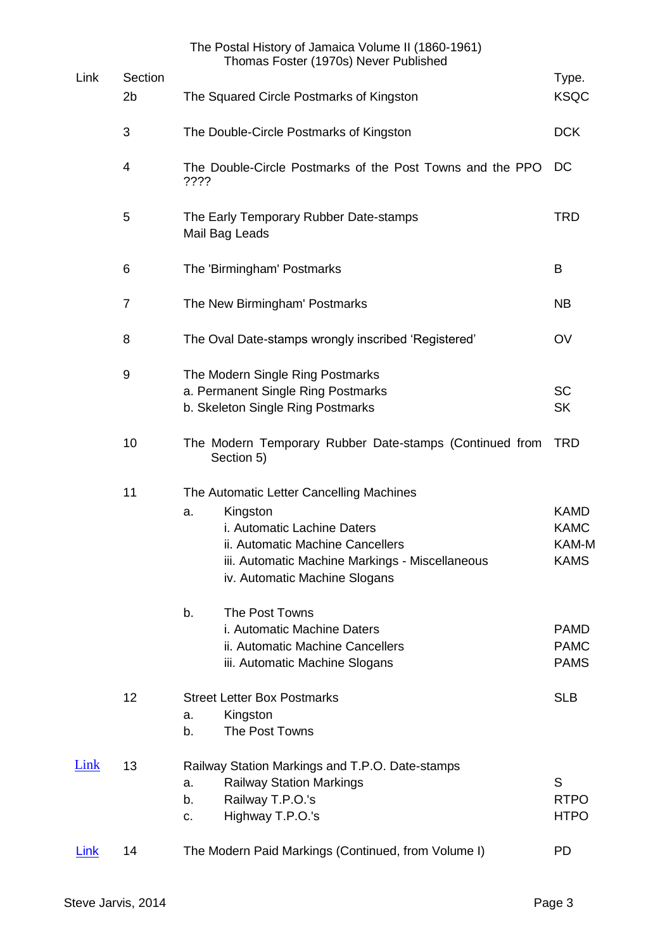|             |                           | The Postal History of Jamaica Volume II (1860-1961)<br>Thomas Foster (1970s) Never Published                                                                                                                      |                                                    |
|-------------|---------------------------|-------------------------------------------------------------------------------------------------------------------------------------------------------------------------------------------------------------------|----------------------------------------------------|
| Link        | Section<br>2 <sub>b</sub> | The Squared Circle Postmarks of Kingston                                                                                                                                                                          | Type.<br><b>KSQC</b>                               |
|             | 3                         | The Double-Circle Postmarks of Kingston                                                                                                                                                                           | <b>DCK</b>                                         |
|             | 4                         | The Double-Circle Postmarks of the Post Towns and the PPO<br>????                                                                                                                                                 | DC                                                 |
|             | 5                         | The Early Temporary Rubber Date-stamps<br>Mail Bag Leads                                                                                                                                                          | <b>TRD</b>                                         |
|             | 6                         | The 'Birmingham' Postmarks                                                                                                                                                                                        | B                                                  |
|             | $\overline{7}$            | The New Birmingham' Postmarks                                                                                                                                                                                     | <b>NB</b>                                          |
|             | 8                         | The Oval Date-stamps wrongly inscribed 'Registered'                                                                                                                                                               | OV                                                 |
|             | 9                         | The Modern Single Ring Postmarks<br>a. Permanent Single Ring Postmarks<br>b. Skeleton Single Ring Postmarks                                                                                                       | <b>SC</b><br><b>SK</b>                             |
|             | 10                        | The Modern Temporary Rubber Date-stamps (Continued from<br>Section 5)                                                                                                                                             | <b>TRD</b>                                         |
|             | 11                        | The Automatic Letter Cancelling Machines<br>Kingston<br>a.<br>i. Automatic Lachine Daters<br>ii. Automatic Machine Cancellers<br>iii. Automatic Machine Markings - Miscellaneous<br>iv. Automatic Machine Slogans | <b>KAMD</b><br><b>KAMC</b><br>KAM-M<br><b>KAMS</b> |
|             |                           | The Post Towns<br>b.<br>i. Automatic Machine Daters<br>ii. Automatic Machine Cancellers<br>iii. Automatic Machine Slogans                                                                                         | <b>PAMD</b><br><b>PAMC</b><br><b>PAMS</b>          |
|             | 12                        | <b>Street Letter Box Postmarks</b><br>Kingston<br>a.<br>The Post Towns<br>b.                                                                                                                                      | <b>SLB</b>                                         |
| Link        | 13                        | Railway Station Markings and T.P.O. Date-stamps<br><b>Railway Station Markings</b><br>a.<br>Railway T.P.O.'s<br>b.<br>Highway T.P.O.'s<br>c.                                                                      | S<br><b>RTPO</b><br><b>HTPO</b>                    |
| <b>Link</b> | 14                        | The Modern Paid Markings (Continued, from Volume I)                                                                                                                                                               | <b>PD</b>                                          |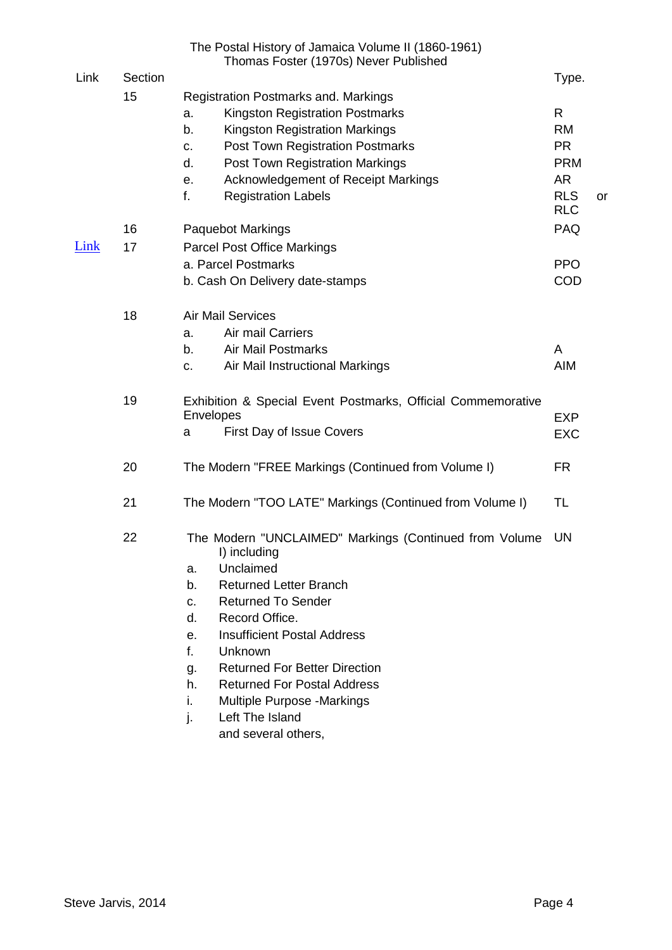|      |         | The Postal History of Jamaica Volume II (1860-1961)<br>Thomas Foster (1970s) Never Published                                                                                                                                                                                                                                                                                                                                           |                                           |           |
|------|---------|----------------------------------------------------------------------------------------------------------------------------------------------------------------------------------------------------------------------------------------------------------------------------------------------------------------------------------------------------------------------------------------------------------------------------------------|-------------------------------------------|-----------|
| Link | Section |                                                                                                                                                                                                                                                                                                                                                                                                                                        | Type.                                     |           |
|      | 15      | <b>Registration Postmarks and. Markings</b><br><b>Kingston Registration Postmarks</b><br>a.<br><b>Kingston Registration Markings</b><br>b.<br><b>Post Town Registration Postmarks</b><br>c.<br>Post Town Registration Markings<br>d.                                                                                                                                                                                                   | R<br><b>RM</b><br><b>PR</b><br><b>PRM</b> |           |
|      |         | <b>Acknowledgement of Receipt Markings</b><br>е.<br><b>Registration Labels</b><br>f.                                                                                                                                                                                                                                                                                                                                                   | <b>AR</b><br><b>RLS</b><br><b>RLC</b>     | <b>or</b> |
|      | 16      | <b>Paquebot Markings</b>                                                                                                                                                                                                                                                                                                                                                                                                               | <b>PAQ</b>                                |           |
| Link | 17      | <b>Parcel Post Office Markings</b><br>a. Parcel Postmarks<br>b. Cash On Delivery date-stamps                                                                                                                                                                                                                                                                                                                                           | <b>PPO</b><br>COD                         |           |
|      | 18      | <b>Air Mail Services</b><br>Air mail Carriers<br>a.<br><b>Air Mail Postmarks</b><br>b.<br>Air Mail Instructional Markings<br>c.                                                                                                                                                                                                                                                                                                        | A<br><b>AIM</b>                           |           |
|      | 19      | Exhibition & Special Event Postmarks, Official Commemorative<br>Envelopes<br>First Day of Issue Covers<br>a                                                                                                                                                                                                                                                                                                                            | <b>EXP</b><br><b>EXC</b>                  |           |
|      | 20      | The Modern "FREE Markings (Continued from Volume I)                                                                                                                                                                                                                                                                                                                                                                                    | <b>FR</b>                                 |           |
|      | 21      | The Modern "TOO LATE" Markings (Continued from Volume I)                                                                                                                                                                                                                                                                                                                                                                               | TL                                        |           |
|      | 22      | The Modern "UNCLAIMED" Markings (Continued from Volume<br>I) including<br>Unclaimed<br>a.<br><b>Returned Letter Branch</b><br>b.<br><b>Returned To Sender</b><br>C.<br>Record Office.<br>d.<br><b>Insufficient Postal Address</b><br>е.<br>f.<br>Unknown<br><b>Returned For Better Direction</b><br>g.<br><b>Returned For Postal Address</b><br>h.<br>i.<br>Multiple Purpose -Markings<br>Left The Island<br>j.<br>and several others, | UN                                        |           |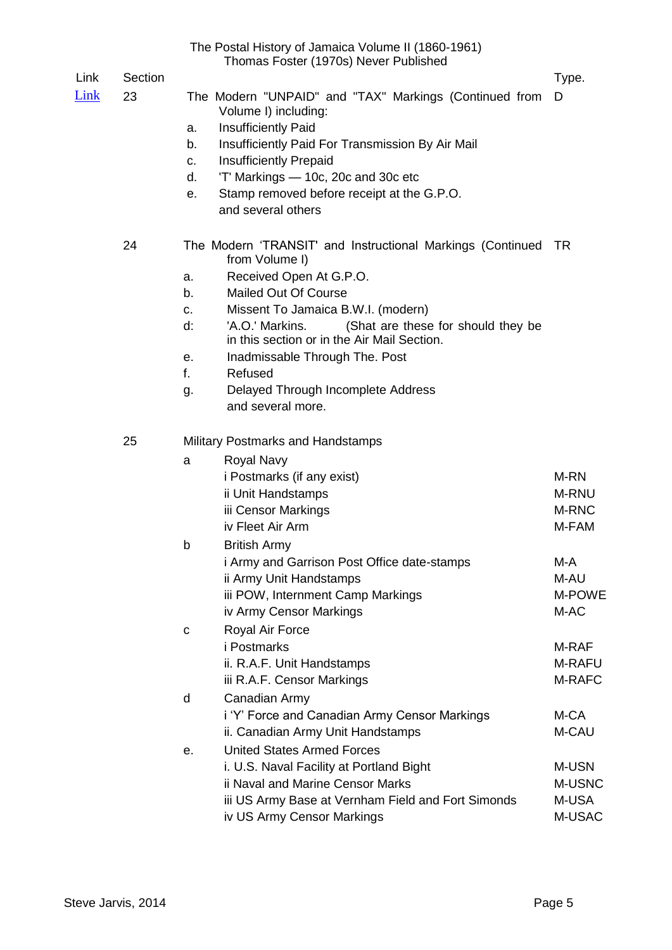|      |         | The Postal History of Jamaica Volume II (1860-1961)<br>Thomas Foster (1970s) Never Published                                                                                                                                                                                                                                                                                                                                       |                                    |
|------|---------|------------------------------------------------------------------------------------------------------------------------------------------------------------------------------------------------------------------------------------------------------------------------------------------------------------------------------------------------------------------------------------------------------------------------------------|------------------------------------|
| Link | Section |                                                                                                                                                                                                                                                                                                                                                                                                                                    | Type.                              |
| Link | 23      | The Modern "UNPAID" and "TAX" Markings (Continued from<br>Volume I) including:<br>Insufficiently Paid<br>a.<br>Insufficiently Paid For Transmission By Air Mail<br>b.<br><b>Insufficiently Prepaid</b><br>c.<br>'T' Markings - 10c, 20c and 30c etc<br>d.<br>Stamp removed before receipt at the G.P.O.<br>е.<br>and several others                                                                                                | D                                  |
|      | 24      | The Modern 'TRANSIT' and Instructional Markings (Continued TR<br>from Volume I)<br>Received Open At G.P.O.<br>a.<br>Mailed Out Of Course<br>b.<br>Missent To Jamaica B.W.I. (modern)<br>c.<br>d:<br>'A.O.' Markins.<br>(Shat are these for should they be<br>in this section or in the Air Mail Section.<br>Inadmissable Through The. Post<br>е.<br>f.<br>Refused<br>Delayed Through Incomplete Address<br>g.<br>and several more. |                                    |
|      | 25      | <b>Military Postmarks and Handstamps</b>                                                                                                                                                                                                                                                                                                                                                                                           |                                    |
|      |         | <b>Royal Navy</b><br>a<br><i>i</i> Postmarks (if any exist)<br>ii Unit Handstamps<br>iii Censor Markings<br>iv Fleet Air Arm                                                                                                                                                                                                                                                                                                       | M-RN<br>M-RNU<br>M-RNC<br>M-FAM    |
|      |         | b<br><b>British Army</b><br><i>i</i> Army and Garrison Post Office date-stamps<br>ii Army Unit Handstamps<br>iii POW, Internment Camp Markings<br>iv Army Censor Markings                                                                                                                                                                                                                                                          | M-A<br>M-AU<br>M-POWE<br>M-AC      |
|      |         | Royal Air Force<br>С<br><i>i</i> Postmarks<br>ii. R.A.F. Unit Handstamps<br>iii R.A.F. Censor Markings                                                                                                                                                                                                                                                                                                                             | M-RAF<br><b>M-RAFU</b><br>M-RAFC   |
|      |         | Canadian Army<br>d<br>i 'Y' Force and Canadian Army Censor Markings<br>ii. Canadian Army Unit Handstamps                                                                                                                                                                                                                                                                                                                           | M-CA<br>M-CAU                      |
|      |         | <b>United States Armed Forces</b><br>е.<br>i. U.S. Naval Facility at Portland Bight<br>ii Naval and Marine Censor Marks<br>iii US Army Base at Vernham Field and Fort Simonds<br>iv US Army Censor Markings                                                                                                                                                                                                                        | M-USN<br>M-USNC<br>M-USA<br>M-USAC |